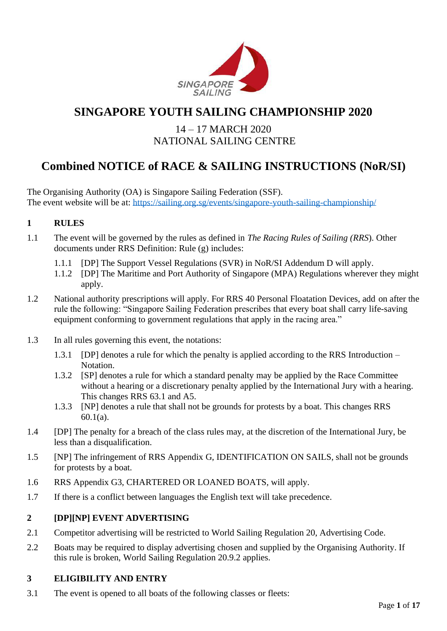

# **SINGAPORE YOUTH SAILING CHAMPIONSHIP 2020**

## 14 – 17 MARCH 2020 NATIONAL SAILING CENTRE

# **Combined NOTICE of RACE & SAILING INSTRUCTIONS (NoR/SI)**

The Organising Authority (OA) is Singapore Sailing Federation (SSF). The event website will be at: <https://sailing.org.sg/events/singapore-youth-sailing-championship/>

## **1 RULES**

- 1.1 The event will be governed by the rules as defined in *The Racing Rules of Sailing (RRS*). Other documents under RRS Definition: Rule (g) includes:
	- 1.1.1 [DP] The Support Vessel Regulations (SVR) in NoR/SI Addendum D will apply.
	- 1.1.2 [DP] The Maritime and Port Authority of Singapore (MPA) Regulations wherever they might apply.
- 1.2 National authority prescriptions will apply. For RRS 40 Personal Floatation Devices, add on after the rule the following: "Singapore Sailing Federation prescribes that every boat shall carry life-saving equipment conforming to government regulations that apply in the racing area."
- 1.3 In all rules governing this event, the notations:
	- 1.3.1 [DP] denotes a rule for which the penalty is applied according to the RRS Introduction Notation.
	- 1.3.2 [SP] denotes a rule for which a standard penalty may be applied by the Race Committee without a hearing or a discretionary penalty applied by the International Jury with a hearing. This changes RRS 63.1 and A5.
	- 1.3.3 [NP] denotes a rule that shall not be grounds for protests by a boat. This changes RRS 60.1(a).
- 1.4 [DP] The penalty for a breach of the class rules may, at the discretion of the International Jury, be less than a disqualification.
- 1.5 [NP] The infringement of RRS Appendix G, IDENTIFICATION ON SAILS, shall not be grounds for protests by a boat.
- 1.6 RRS Appendix G3, CHARTERED OR LOANED BOATS, will apply.
- 1.7 If there is a conflict between languages the English text will take precedence.

## **2 [DP][NP] EVENT ADVERTISING**

- 2.1 Competitor advertising will be restricted to World Sailing Regulation 20, Advertising Code.
- 2.2 Boats may be required to display advertising chosen and supplied by the Organising Authority. If this rule is broken, World Sailing Regulation 20.9.2 applies.

## **3 ELIGIBILITY AND ENTRY**

3.1 The event is opened to all boats of the following classes or fleets: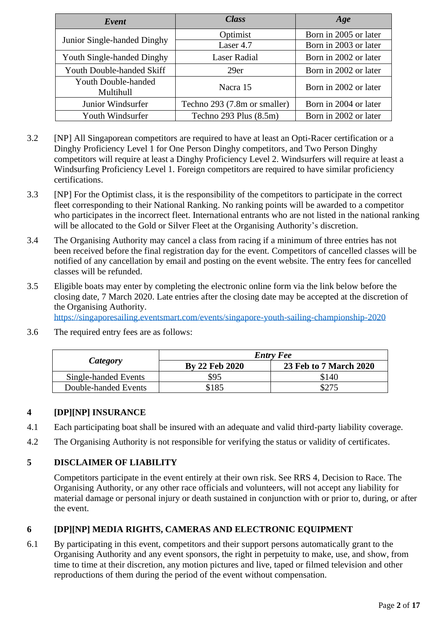| Event                            | <b>Class</b>                 | Age                   |
|----------------------------------|------------------------------|-----------------------|
|                                  | Optimist                     | Born in 2005 or later |
| Junior Single-handed Dinghy      | Laser 4.7                    | Born in 2003 or later |
| Youth Single-handed Dinghy       | <b>Laser Radial</b>          | Born in 2002 or later |
| <b>Youth Double-handed Skiff</b> | 29er                         | Born in 2002 or later |
| Youth Double-handed<br>Multihull | Nacra 15                     | Born in 2002 or later |
| Junior Windsurfer                | Techno 293 (7.8m or smaller) | Born in 2004 or later |
| Youth Windsurfer                 | Techno $293$ Plus $(8.5m)$   | Born in 2002 or later |

- 3.2 [NP] All Singaporean competitors are required to have at least an Opti-Racer certification or a Dinghy Proficiency Level 1 for One Person Dinghy competitors, and Two Person Dinghy competitors will require at least a Dinghy Proficiency Level 2. Windsurfers will require at least a Windsurfing Proficiency Level 1. Foreign competitors are required to have similar proficiency certifications.
- 3.3 [NP] For the Optimist class, it is the responsibility of the competitors to participate in the correct fleet corresponding to their National Ranking. No ranking points will be awarded to a competitor who participates in the incorrect fleet. International entrants who are not listed in the national ranking will be allocated to the Gold or Silver Fleet at the Organising Authority's discretion.
- 3.4 The Organising Authority may cancel a class from racing if a minimum of three entries has not been received before the final registration day for the event. Competitors of cancelled classes will be notified of any cancellation by email and posting on the event website. The entry fees for cancelled classes will be refunded.
- 3.5 Eligible boats may enter by completing the electronic online form via the link below before the closing date, 7 March 2020. Late entries after the closing date may be accepted at the discretion of the Organising Authority.

<https://singaporesailing.eventsmart.com/events/singapore-youth-sailing-championship-2020>

3.6 The required entry fees are as follows:

|                      | <b>Entry Fee</b> |                        |  |
|----------------------|------------------|------------------------|--|
| Category             | By 22 Feb 2020   | 23 Feb to 7 March 2020 |  |
| Single-handed Events | \$95             | \$140                  |  |
| Double-handed Events | \$185            |                        |  |

## **4 [DP][NP] INSURANCE**

- 4.1 Each participating boat shall be insured with an adequate and valid third-party liability coverage.
- 4.2 The Organising Authority is not responsible for verifying the status or validity of certificates.

## **5 DISCLAIMER OF LIABILITY**

Competitors participate in the event entirely at their own risk. See RRS 4, Decision to Race. The Organising Authority, or any other race officials and volunteers, will not accept any liability for material damage or personal injury or death sustained in conjunction with or prior to, during, or after the event.

## **6 [DP][NP] MEDIA RIGHTS, CAMERAS AND ELECTRONIC EQUIPMENT**

6.1 By participating in this event, competitors and their support persons automatically grant to the Organising Authority and any event sponsors, the right in perpetuity to make, use, and show, from time to time at their discretion, any motion pictures and live, taped or filmed television and other reproductions of them during the period of the event without compensation.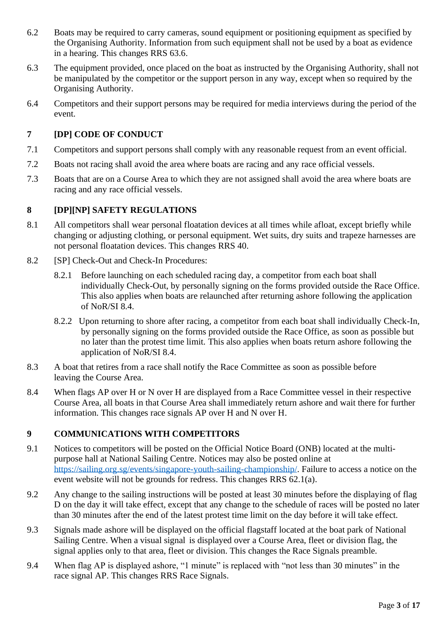- 6.2 Boats may be required to carry cameras, sound equipment or positioning equipment as specified by the Organising Authority. Information from such equipment shall not be used by a boat as evidence in a hearing. This changes RRS 63.6.
- 6.3 The equipment provided, once placed on the boat as instructed by the Organising Authority, shall not be manipulated by the competitor or the support person in any way, except when so required by the Organising Authority.
- 6.4 Competitors and their support persons may be required for media interviews during the period of the event.

## **7 [DP] CODE OF CONDUCT**

- 7.1 Competitors and support persons shall comply with any reasonable request from an event official.
- 7.2 Boats not racing shall avoid the area where boats are racing and any race official vessels.
- 7.3 Boats that are on a Course Area to which they are not assigned shall avoid the area where boats are racing and any race official vessels.

## **8 [DP][NP] SAFETY REGULATIONS**

- 8.1 All competitors shall wear personal floatation devices at all times while afloat, except briefly while changing or adjusting clothing, or personal equipment. Wet suits, dry suits and trapeze harnesses are not personal floatation devices. This changes RRS 40.
- 8.2 [SP] Check-Out and Check-In Procedures:
	- 8.2.1 Before launching on each scheduled racing day, a competitor from each boat shall individually Check-Out, by personally signing on the forms provided outside the Race Office. This also applies when boats are relaunched after returning ashore following the application of NoR/SI 8.4.
	- 8.2.2 Upon returning to shore after racing, a competitor from each boat shall individually Check-In, by personally signing on the forms provided outside the Race Office, as soon as possible but no later than the protest time limit. This also applies when boats return ashore following the application of NoR/SI 8.4.
- 8.3 A boat that retires from a race shall notify the Race Committee as soon as possible before leaving the Course Area.
- 8.4 When flags AP over H or N over H are displayed from a Race Committee vessel in their respective Course Area, all boats in that Course Area shall immediately return ashore and wait there for further information. This changes race signals AP over H and N over H.

## **9 COMMUNICATIONS WITH COMPETITORS**

- 9.1 Notices to competitors will be posted on the Official Notice Board (ONB) located at the multipurpose hall at National Sailing Centre. Notices may also be posted online at [https://sailing.org.sg/events/singapore-youth-sailing-championship/.](https://sailing.org.sg/events/singapore-youth-sailing-championship/) Failure to access a notice on the event website will not be grounds for redress. This changes RRS 62.1(a).
- 9.2 Any change to the sailing instructions will be posted at least 30 minutes before the displaying of flag D on the day it will take effect, except that any change to the schedule of races will be posted no later than 30 minutes after the end of the latest protest time limit on the day before it will take effect.
- 9.3 Signals made ashore will be displayed on the official flagstaff located at the boat park of National Sailing Centre. When a visual signal is displayed over a Course Area, fleet or division flag, the signal applies only to that area, fleet or division. This changes the Race Signals preamble.
- 9.4 When flag AP is displayed ashore, "1 minute" is replaced with "not less than 30 minutes" in the race signal AP. This changes RRS Race Signals.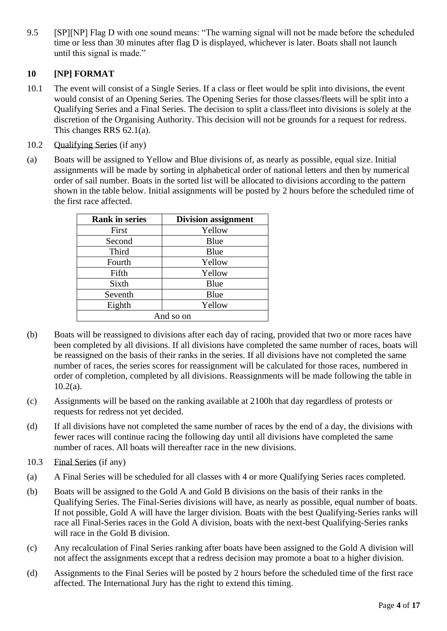9.5 [SP][NP] Flag D with one sound means: "The warning signal will not be made before the scheduled time or less than 30 minutes after flag D is displayed, whichever is later. Boats shall not launch until this signal is made."

## **10 [NP] FORMAT**

- 10.1 The event will consist of a Single Series. If a class or fleet would be split into divisions, the event would consist of an Opening Series. The Opening Series for those classes/fleets will be split into a Qualifying Series and a Final Series. The decision to split a class/fleet into divisions is solely at the discretion of the Organising Authority. This decision will not be grounds for a request for redress. This changes RRS 62.1(a).
- 10.2 Qualifying Series (if any)
- (a) Boats will be assigned to Yellow and Blue divisions of, as nearly as possible, equal size. Initial assignments will be made by sorting in alphabetical order of national letters and then by numerical order of sail number. Boats in the sorted list will be allocated to divisions according to the pattern shown in the table below. Initial assignments will be posted by 2 hours before the scheduled time of the first race affected.

| <b>Rank in series</b> | <b>Division assignment</b> |
|-----------------------|----------------------------|
| First                 | Yellow                     |
| Second                | Blue                       |
| Third                 | Blue                       |
| Fourth                | Yellow                     |
| Fifth                 | Yellow                     |
| Sixth                 | Blue                       |
| Seventh               | Blue                       |
| Eighth                | Yellow                     |
| And so on             |                            |

- (b) Boats will be reassigned to divisions after each day of racing, provided that two or more races have been completed by all divisions. If all divisions have completed the same number of races, boats will be reassigned on the basis of their ranks in the series. If all divisions have not completed the same number of races, the series scores for reassignment will be calculated for those races, numbered in order of completion, completed by all divisions. Reassignments will be made following the table in  $10.2(a)$ .
- (c) Assignments will be based on the ranking available at 2100h that day regardless of protests or requests for redress not yet decided.
- (d) If all divisions have not completed the same number of races by the end of a day, the divisions with fewer races will continue racing the following day until all divisions have completed the same number of races. All boats will thereafter race in the new divisions.
- 10.3 Final Series (if any)
- (a) A Final Series will be scheduled for all classes with 4 or more Qualifying Series races completed.
- (b) Boats will be assigned to the Gold A and Gold B divisions on the basis of their ranks in the Qualifying Series. The Final-Series divisions will have, as nearly as possible, equal number of boats. If not possible, Gold A will have the larger division. Boats with the best Qualifying-Series ranks will race all Final-Series races in the Gold A division, boats with the next-best Qualifying-Series ranks will race in the Gold B division.
- (c) Any recalculation of Final Series ranking after boats have been assigned to the Gold A division will not affect the assignments except that a redress decision may promote a boat to a higher division.
- (d) Assignments to the Final Series will be posted by 2 hours before the scheduled time of the first race affected. The International Jury has the right to extend this timing.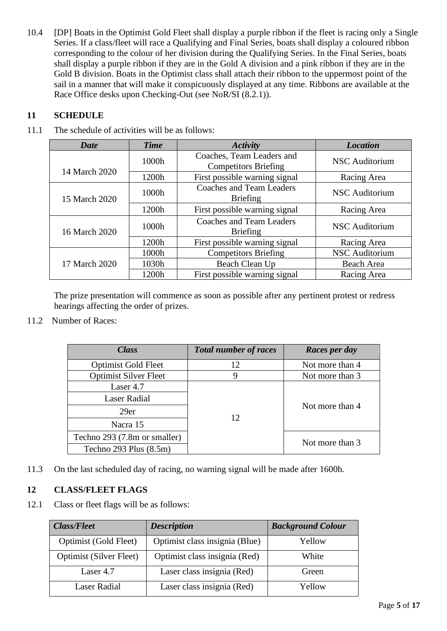10.4 [DP] Boats in the Optimist Gold Fleet shall display a purple ribbon if the fleet is racing only a Single Series. If a class/fleet will race a Qualifying and Final Series, boats shall display a coloured ribbon corresponding to the colour of her division during the Qualifying Series. In the Final Series, boats shall display a purple ribbon if they are in the Gold A division and a pink ribbon if they are in the Gold B division. Boats in the Optimist class shall attach their ribbon to the uppermost point of the sail in a manner that will make it conspicuously displayed at any time. Ribbons are available at the Race Office desks upon Checking-Out (see NoR/SI (8.2.1)).

## **11 SCHEDULE**

## 11.1 The schedule of activities will be as follows:

| <b>Date</b>   | <b>Time</b> | <b>Activity</b>                                          | <b>Location</b>       |
|---------------|-------------|----------------------------------------------------------|-----------------------|
|               | 1000h       | Coaches, Team Leaders and<br><b>Competitors Briefing</b> | <b>NSC</b> Auditorium |
| 14 March 2020 | 1200h       | First possible warning signal                            | Racing Area           |
| 15 March 2020 | 1000h       | <b>Coaches and Team Leaders</b><br><b>Briefing</b>       | <b>NSC</b> Auditorium |
|               | 1200h       | First possible warning signal                            | Racing Area           |
| 16 March 2020 | 1000h       | Coaches and Team Leaders<br><b>Briefing</b>              | <b>NSC</b> Auditorium |
|               | 1200h       | First possible warning signal                            | Racing Area           |
|               | 1000h       | <b>Competitors Briefing</b>                              | <b>NSC</b> Auditorium |
| 17 March 2020 | 1030h       | Beach Clean Up                                           | Beach Area            |
|               | 1200h       | First possible warning signal                            | Racing Area           |

The prize presentation will commence as soon as possible after any pertinent protest or redress hearings affecting the order of prizes.

11.2 Number of Races:

| <b>Class</b>                 | <b>Total number of races</b> | Races per day   |
|------------------------------|------------------------------|-----------------|
| <b>Optimist Gold Fleet</b>   | 12                           | Not more than 4 |
| <b>Optimist Silver Fleet</b> | 9                            | Not more than 3 |
| Laser 4.7                    |                              |                 |
| <b>Laser Radial</b>          |                              |                 |
| 29er                         | 12                           | Not more than 4 |
| Nacra 15                     |                              |                 |
| Techno 293 (7.8m or smaller) |                              | Not more than 3 |
| Techno 293 Plus $(8.5m)$     |                              |                 |

11.3 On the last scheduled day of racing, no warning signal will be made after 1600h.

## **12 CLASS/FLEET FLAGS**

12.1 Class or fleet flags will be as follows:

| <b>Class/Fleet</b>             | <b>Description</b>             | <b>Background Colour</b> |
|--------------------------------|--------------------------------|--------------------------|
| Optimist (Gold Fleet)          | Optimist class insignia (Blue) | Yellow                   |
| <b>Optimist (Silver Fleet)</b> | Optimist class insignia (Red)  | White                    |
| Laser 4.7                      | Laser class insignia (Red)     | Green                    |
| Laser Radial                   | Laser class insignia (Red)     | Yellow                   |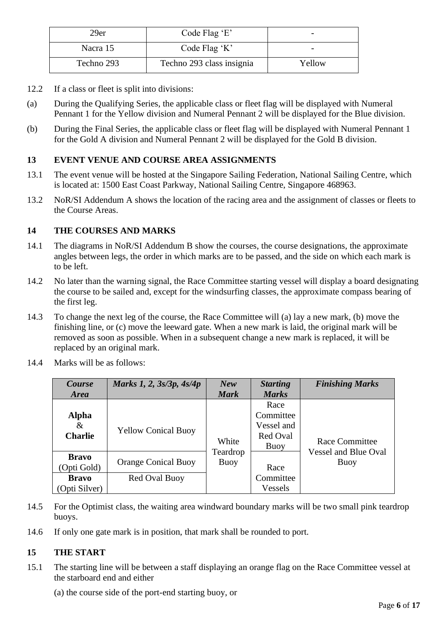| 29er       | Code Flag 'E'             | -      |
|------------|---------------------------|--------|
| Nacra 15   | Code Flag $K'$            |        |
| Techno 293 | Techno 293 class insignia | Yellow |

- 12.2 If a class or fleet is split into divisions:
- (a) During the Qualifying Series, the applicable class or fleet flag will be displayed with Numeral Pennant 1 for the Yellow division and Numeral Pennant 2 will be displayed for the Blue division.
- (b) During the Final Series, the applicable class or fleet flag will be displayed with Numeral Pennant 1 for the Gold A division and Numeral Pennant 2 will be displayed for the Gold B division.

### **13 EVENT VENUE AND COURSE AREA ASSIGNMENTS**

- 13.1 The event venue will be hosted at the Singapore Sailing Federation, National Sailing Centre, which is located at: 1500 East Coast Parkway, National Sailing Centre, Singapore 468963.
- 13.2 NoR/SI Addendum A shows the location of the racing area and the assignment of classes or fleets to the Course Areas.

#### **14 THE COURSES AND MARKS**

- 14.1 The diagrams in NoR/SI Addendum B show the courses, the course designations, the approximate angles between legs, the order in which marks are to be passed, and the side on which each mark is to be left.
- 14.2 No later than the warning signal, the Race Committee starting vessel will display a board designating the course to be sailed and, except for the windsurfing classes, the approximate compass bearing of the first leg.
- 14.3 To change the next leg of the course, the Race Committee will (a) lay a new mark, (b) move the finishing line, or (c) move the leeward gate. When a new mark is laid, the original mark will be removed as soon as possible. When in a subsequent change a new mark is replaced, it will be replaced by an original mark.

| Course<br><b>Area</b>         | Marks 1, 2, 3s/3p, 4s/4p   | New<br><b>Mark</b> | <b>Starting</b><br><b>Marks</b>                     | <b>Finishing Marks</b>              |
|-------------------------------|----------------------------|--------------------|-----------------------------------------------------|-------------------------------------|
| Alpha<br>&<br><b>Charlie</b>  | <b>Yellow Conical Buoy</b> | White              | Race<br>Committee<br>Vessel and<br>Red Oval<br>Buoy | Race Committee                      |
| <b>Bravo</b><br>(Opti Gold)   | <b>Orange Conical Buoy</b> | Teardrop<br>Buoy   | Race                                                | <b>Vessel and Blue Oval</b><br>Buoy |
| <b>Bravo</b><br>(Opti Silver) | Red Oval Buoy              |                    | Committee<br>Vessels                                |                                     |

14.4 Marks will be as follows:

- 14.5 For the Optimist class, the waiting area windward boundary marks will be two small pink teardrop buoys.
- 14.6 If only one gate mark is in position, that mark shall be rounded to port.

#### **15 THE START**

- 15.1 The starting line will be between a staff displaying an orange flag on the Race Committee vessel at the starboard end and either
	- (a) the course side of the port-end starting buoy, or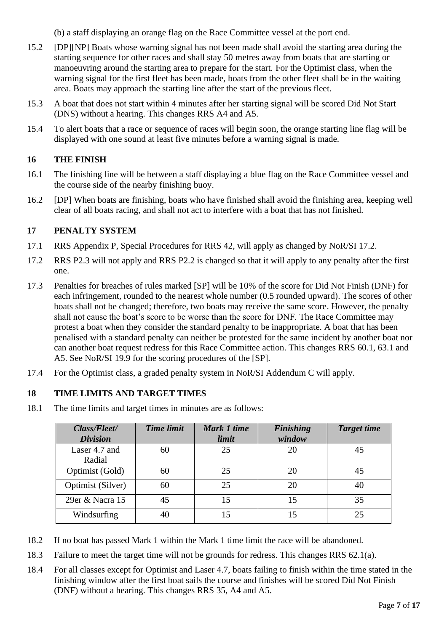(b) a staff displaying an orange flag on the Race Committee vessel at the port end.

- 15.2 [DP][NP] Boats whose warning signal has not been made shall avoid the starting area during the starting sequence for other races and shall stay 50 metres away from boats that are starting or manoeuvring around the starting area to prepare for the start. For the Optimist class, when the warning signal for the first fleet has been made, boats from the other fleet shall be in the waiting area. Boats may approach the starting line after the start of the previous fleet.
- 15.3 A boat that does not start within 4 minutes after her starting signal will be scored Did Not Start (DNS) without a hearing. This changes RRS A4 and A5.
- 15.4 To alert boats that a race or sequence of races will begin soon, the orange starting line flag will be displayed with one sound at least five minutes before a warning signal is made.

## **16 THE FINISH**

- 16.1 The finishing line will be between a staff displaying a blue flag on the Race Committee vessel and the course side of the nearby finishing buoy.
- 16.2 [DP] When boats are finishing, boats who have finished shall avoid the finishing area, keeping well clear of all boats racing, and shall not act to interfere with a boat that has not finished.

## **17 PENALTY SYSTEM**

- 17.1 RRS Appendix P, Special Procedures for RRS 42, will apply as changed by NoR/SI 17.2.
- 17.2 RRS P2.3 will not apply and RRS P2.2 is changed so that it will apply to any penalty after the first one.
- 17.3 Penalties for breaches of rules marked [SP] will be 10% of the score for Did Not Finish (DNF) for each infringement, rounded to the nearest whole number (0.5 rounded upward). The scores of other boats shall not be changed; therefore, two boats may receive the same score. However, the penalty shall not cause the boat's score to be worse than the score for DNF. The Race Committee may protest a boat when they consider the standard penalty to be inappropriate. A boat that has been penalised with a standard penalty can neither be protested for the same incident by another boat nor can another boat request redress for this Race Committee action. This changes RRS 60.1, 63.1 and A5. See NoR/SI 19.9 for the scoring procedures of the [SP].
- 17.4 For the Optimist class, a graded penalty system in NoR/SI Addendum C will apply.

## **18 TIME LIMITS AND TARGET TIMES**

18.1 The time limits and target times in minutes are as follows:

| Class/Fleet/<br><b>Division</b> | <b>Time limit</b> | Mark 1 time<br>limit | <b>Finishing</b><br>window | <b>Target time</b> |
|---------------------------------|-------------------|----------------------|----------------------------|--------------------|
| Laser 4.7 and<br>Radial         | 60                | 25                   | 20                         | 45                 |
| Optimist (Gold)                 | 60                | 25                   | 20                         | 45                 |
| Optimist (Silver)               | 60                | 25                   | 20                         | 40                 |
| 29er & Nacra 15                 | 45                | 15                   | 15                         | 35                 |
| Windsurfing                     | 40                | 15                   | 15                         | 25                 |

- 18.2 If no boat has passed Mark 1 within the Mark 1 time limit the race will be abandoned.
- 18.3 Failure to meet the target time will not be grounds for redress. This changes RRS 62.1(a).
- 18.4 For all classes except for Optimist and Laser 4.7, boats failing to finish within the time stated in the finishing window after the first boat sails the course and finishes will be scored Did Not Finish (DNF) without a hearing. This changes RRS 35, A4 and A5.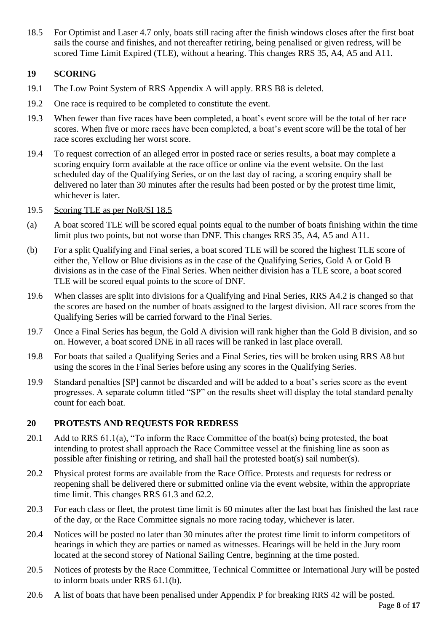18.5 For Optimist and Laser 4.7 only, boats still racing after the finish windows closes after the first boat sails the course and finishes, and not thereafter retiring, being penalised or given redress, will be scored Time Limit Expired (TLE), without a hearing. This changes RRS 35, A4, A5 and A11.

## **19 SCORING**

- 19.1 The Low Point System of RRS Appendix A will apply. RRS B8 is deleted.
- 19.2 One race is required to be completed to constitute the event.
- 19.3 When fewer than five races have been completed, a boat's event score will be the total of her race scores. When five or more races have been completed, a boat's event score will be the total of her race scores excluding her worst score.
- 19.4 To request correction of an alleged error in posted race or series results, a boat may complete a scoring enquiry form available at the race office or online via the event website. On the last scheduled day of the Qualifying Series, or on the last day of racing, a scoring enquiry shall be delivered no later than 30 minutes after the results had been posted or by the protest time limit, whichever is later.

## 19.5 Scoring TLE as per NoR/SI 18.5

- (a) A boat scored TLE will be scored equal points equal to the number of boats finishing within the time limit plus two points, but not worse than DNF. This changes RRS 35, A4, A5 and A11.
- (b) For a split Qualifying and Final series, a boat scored TLE will be scored the highest TLE score of either the, Yellow or Blue divisions as in the case of the Qualifying Series, Gold A or Gold B divisions as in the case of the Final Series. When neither division has a TLE score, a boat scored TLE will be scored equal points to the score of DNF.
- 19.6 When classes are split into divisions for a Qualifying and Final Series, RRS A4.2 is changed so that the scores are based on the number of boats assigned to the largest division. All race scores from the Qualifying Series will be carried forward to the Final Series.
- 19.7 Once a Final Series has begun, the Gold A division will rank higher than the Gold B division, and so on. However, a boat scored DNE in all races will be ranked in last place overall.
- 19.8 For boats that sailed a Qualifying Series and a Final Series, ties will be broken using RRS A8 but using the scores in the Final Series before using any scores in the Qualifying Series.
- 19.9 Standard penalties [SP] cannot be discarded and will be added to a boat's series score as the event progresses. A separate column titled "SP" on the results sheet will display the total standard penalty count for each boat.

## **20 PROTESTS AND REQUESTS FOR REDRESS**

- 20.1 Add to RRS  $61.1(a)$ , "To inform the Race Committee of the boat(s) being protested, the boat intending to protest shall approach the Race Committee vessel at the finishing line as soon as possible after finishing or retiring, and shall hail the protested boat(s) sail number(s).
- 20.2 Physical protest forms are available from the Race Office. Protests and requests for redress or reopening shall be delivered there or submitted online via the event website, within the appropriate time limit. This changes RRS 61.3 and 62.2.
- 20.3 For each class or fleet, the protest time limit is 60 minutes after the last boat has finished the last race of the day, or the Race Committee signals no more racing today, whichever is later.
- 20.4 Notices will be posted no later than 30 minutes after the protest time limit to inform competitors of hearings in which they are parties or named as witnesses. Hearings will be held in the Jury room located at the second storey of National Sailing Centre, beginning at the time posted.
- 20.5 Notices of protests by the Race Committee, Technical Committee or International Jury will be posted to inform boats under RRS 61.1(b).
- 20.6 A list of boats that have been penalised under Appendix P for breaking RRS 42 will be posted.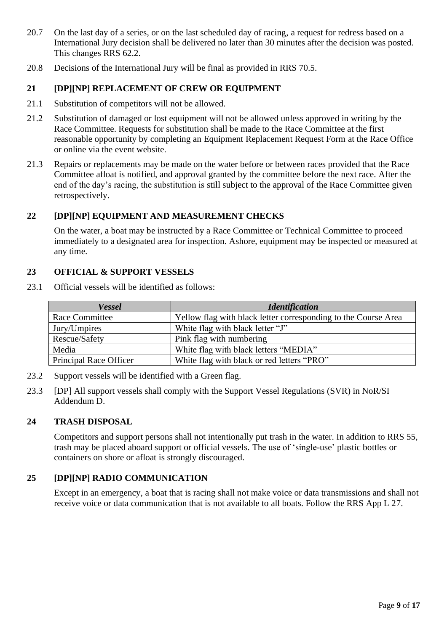- 20.7 On the last day of a series, or on the last scheduled day of racing, a request for redress based on a International Jury decision shall be delivered no later than 30 minutes after the decision was posted. This changes RRS 62.2.
- 20.8 Decisions of the International Jury will be final as provided in RRS 70.5.

## **21 [DP][NP] REPLACEMENT OF CREW OR EQUIPMENT**

- 21.1 Substitution of competitors will not be allowed.
- 21.2 Substitution of damaged or lost equipment will not be allowed unless approved in writing by the Race Committee. Requests for substitution shall be made to the Race Committee at the first reasonable opportunity by completing an Equipment Replacement Request Form at the Race Office or online via the event website.
- 21.3 Repairs or replacements may be made on the water before or between races provided that the Race Committee afloat is notified, and approval granted by the committee before the next race. After the end of the day's racing, the substitution is still subject to the approval of the Race Committee given retrospectively.

#### **22 [DP][NP] EQUIPMENT AND MEASUREMENT CHECKS**

On the water, a boat may be instructed by a Race Committee or Technical Committee to proceed immediately to a designated area for inspection. Ashore, equipment may be inspected or measured at any time.

#### **23 OFFICIAL & SUPPORT VESSELS**

23.1 Official vessels will be identified as follows:

| <b>Vessel</b>          | <b>Identification</b>                                          |
|------------------------|----------------------------------------------------------------|
| Race Committee         | Yellow flag with black letter corresponding to the Course Area |
| Jury/Umpires           | White flag with black letter "J"                               |
| Rescue/Safety          | Pink flag with numbering                                       |
| Media                  | White flag with black letters "MEDIA"                          |
| Principal Race Officer | White flag with black or red letters "PRO"                     |

- 23.2 Support vessels will be identified with a Green flag.
- 23.3 [DP] All support vessels shall comply with the Support Vessel Regulations (SVR) in NoR/SI Addendum D.

#### **24 TRASH DISPOSAL**

Competitors and support persons shall not intentionally put trash in the water. In addition to RRS 55, trash may be placed aboard support or official vessels. The use of 'single-use' plastic bottles or containers on shore or afloat is strongly discouraged.

## **25 [DP][NP] RADIO COMMUNICATION**

Except in an emergency, a boat that is racing shall not make voice or data transmissions and shall not receive voice or data communication that is not available to all boats. Follow the RRS App L 27.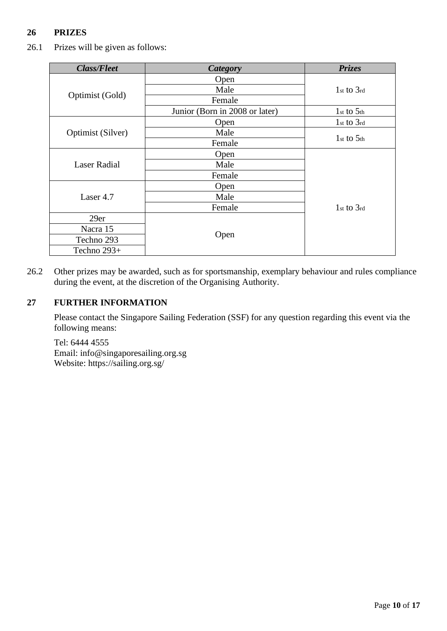## **26 PRIZES**

26.1 Prizes will be given as follows:

| <b>Class/Fleet</b>  | <b>Category</b>                | <b>Prizes</b>  |
|---------------------|--------------------------------|----------------|
|                     | Open                           |                |
|                     | Male                           | $1st$ to $3rd$ |
| Optimist (Gold)     | Female                         |                |
|                     | Junior (Born in 2008 or later) | $1st$ to $5th$ |
|                     | Open                           | $1st$ to $3rd$ |
| Optimist (Silver)   | Male                           | $1st$ to $5th$ |
|                     | Female                         |                |
|                     | Open                           |                |
| <b>Laser Radial</b> | Male                           |                |
|                     | Female                         |                |
| Laser 4.7           | Open                           |                |
|                     | Male                           |                |
|                     | Female                         | $1st$ to $3rd$ |
| 29er                |                                |                |
| Nacra 15            |                                |                |
| Techno 293          | Open                           |                |
| Techno 293+         |                                |                |

26.2 Other prizes may be awarded, such as for sportsmanship, exemplary behaviour and rules compliance during the event, at the discretion of the Organising Authority.

## **27 FURTHER INFORMATION**

Please contact the Singapore Sailing Federation (SSF) for any question regarding this event via the following means:

Tel: 6444 4555 Email: info@singaporesailing.org.sg Website: https://sailing.org.sg/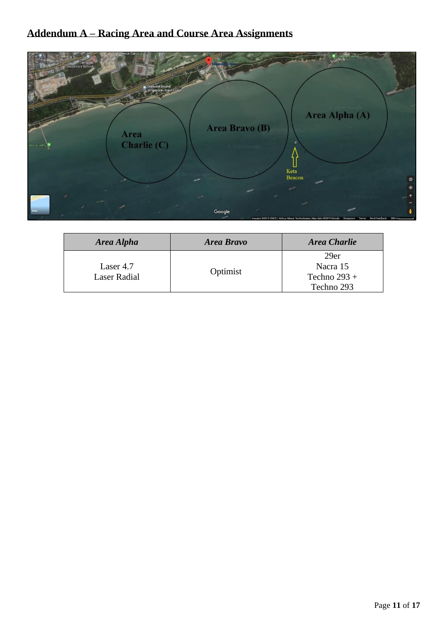# **Addendum A – Racing Area and Course Area Assignments**



| Area Alpha                | <b>Area Bravo</b> | <b>Area Charlie</b> |
|---------------------------|-------------------|---------------------|
|                           |                   | 29er                |
| Laser 4.7<br>Laser Radial | Optimist          | Nacra 15            |
|                           |                   | Techno $293 +$      |
|                           |                   | Techno 293          |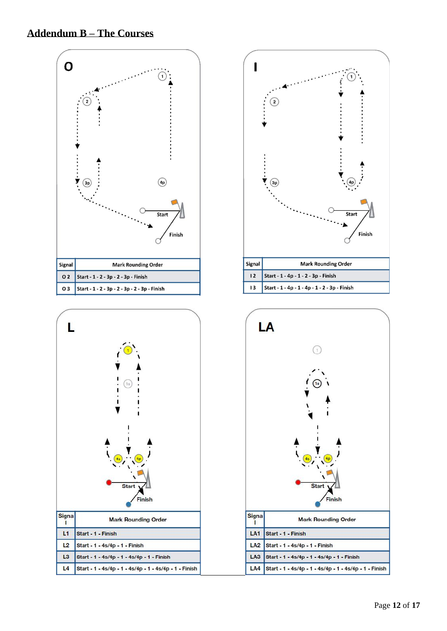





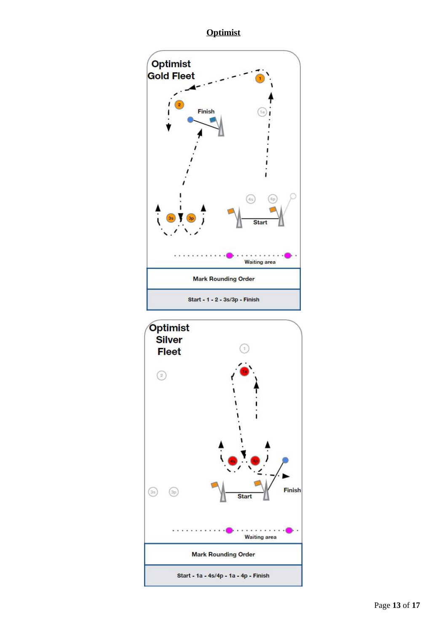**Optimist**



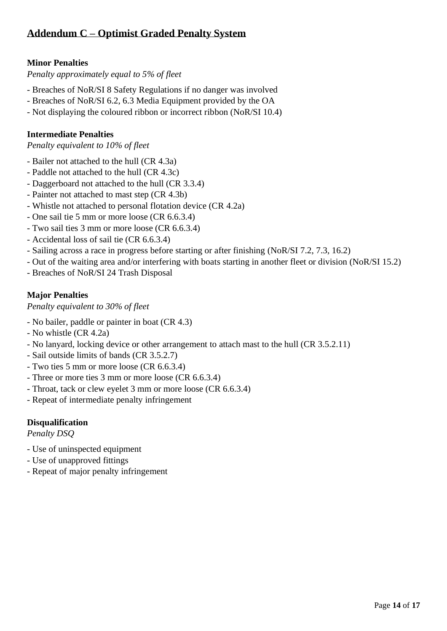## **Addendum C – Optimist Graded Penalty System**

## **Minor Penalties**

*Penalty approximately equal to 5% of fleet*

- Breaches of NoR/SI 8 Safety Regulations if no danger was involved
- Breaches of NoR/SI 6.2, 6.3 Media Equipment provided by the OA
- Not displaying the coloured ribbon or incorrect ribbon (NoR/SI 10.4)

## **Intermediate Penalties**

*Penalty equivalent to 10% of fleet*

- Bailer not attached to the hull (CR 4.3a)
- Paddle not attached to the hull (CR 4.3c)
- Daggerboard not attached to the hull (CR 3.3.4)
- Painter not attached to mast step (CR 4.3b)
- Whistle not attached to personal flotation device (CR 4.2a)
- One sail tie 5 mm or more loose (CR 6.6.3.4)
- Two sail ties 3 mm or more loose (CR 6.6.3.4)
- Accidental loss of sail tie (CR 6.6.3.4)
- Sailing across a race in progress before starting or after finishing (NoR/SI 7.2, 7.3, 16.2)
- Out of the waiting area and/or interfering with boats starting in another fleet or division (NoR/SI 15.2)
- Breaches of NoR/SI 24 Trash Disposal

## **Major Penalties**

*Penalty equivalent to 30% of fleet*

- No bailer, paddle or painter in boat (CR 4.3)
- No whistle (CR 4.2a)
- No lanyard, locking device or other arrangement to attach mast to the hull (CR 3.5.2.11)
- Sail outside limits of bands (CR 3.5.2.7)
- Two ties 5 mm or more loose (CR 6.6.3.4)
- Three or more ties 3 mm or more loose (CR 6.6.3.4)
- Throat, tack or clew eyelet 3 mm or more loose (CR 6.6.3.4)
- Repeat of intermediate penalty infringement

## **Disqualification**

*Penalty DSQ*

- Use of uninspected equipment
- Use of unapproved fittings
- Repeat of major penalty infringement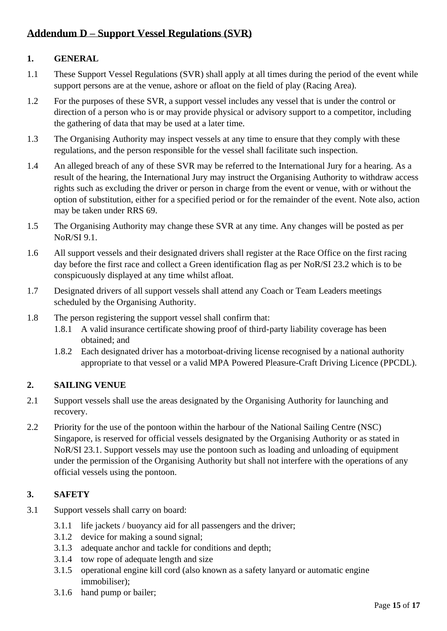## **Addendum D – Support Vessel Regulations (SVR)**

## **1. GENERAL**

- 1.1 These Support Vessel Regulations (SVR) shall apply at all times during the period of the event while support persons are at the venue, ashore or afloat on the field of play (Racing Area).
- 1.2 For the purposes of these SVR, a support vessel includes any vessel that is under the control or direction of a person who is or may provide physical or advisory support to a competitor, including the gathering of data that may be used at a later time.
- 1.3 The Organising Authority may inspect vessels at any time to ensure that they comply with these regulations, and the person responsible for the vessel shall facilitate such inspection.
- 1.4 An alleged breach of any of these SVR may be referred to the International Jury for a hearing. As a result of the hearing, the International Jury may instruct the Organising Authority to withdraw access rights such as excluding the driver or person in charge from the event or venue, with or without the option of substitution, either for a specified period or for the remainder of the event. Note also, action may be taken under RRS 69.
- 1.5 The Organising Authority may change these SVR at any time. Any changes will be posted as per NoR/SI 9.1.
- 1.6 All support vessels and their designated drivers shall register at the Race Office on the first racing day before the first race and collect a Green identification flag as per NoR/SI 23.2 which is to be conspicuously displayed at any time whilst afloat.
- 1.7 Designated drivers of all support vessels shall attend any Coach or Team Leaders meetings scheduled by the Organising Authority.
- 1.8 The person registering the support vessel shall confirm that:
	- 1.8.1 A valid insurance certificate showing proof of third-party liability coverage has been obtained; and
	- 1.8.2 Each designated driver has a motorboat-driving license recognised by a national authority appropriate to that vessel or a valid MPA Powered Pleasure-Craft Driving Licence (PPCDL).

## **2. SAILING VENUE**

- 2.1 Support vessels shall use the areas designated by the Organising Authority for launching and recovery.
- 2.2 Priority for the use of the pontoon within the harbour of the National Sailing Centre (NSC) Singapore, is reserved for official vessels designated by the Organising Authority or as stated in NoR/SI 23.1. Support vessels may use the pontoon such as loading and unloading of equipment under the permission of the Organising Authority but shall not interfere with the operations of any official vessels using the pontoon.

## **3. SAFETY**

- 3.1 Support vessels shall carry on board:
	- 3.1.1 life jackets / buoyancy aid for all passengers and the driver;
	- 3.1.2 device for making a sound signal;
	- 3.1.3 adequate anchor and tackle for conditions and depth;
	- 3.1.4 tow rope of adequate length and size
	- 3.1.5 operational engine kill cord (also known as a safety lanyard or automatic engine immobiliser);
	- 3.1.6 hand pump or bailer;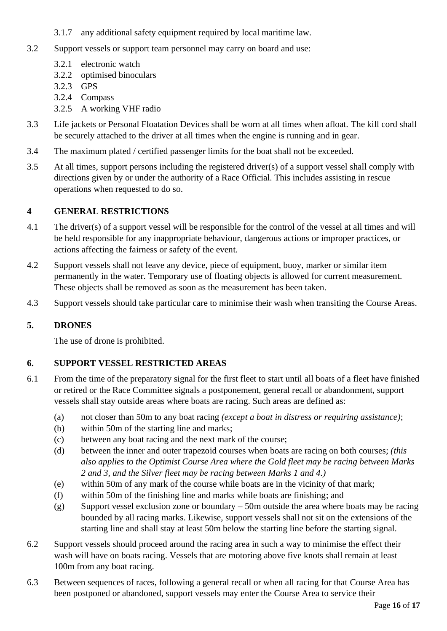- 3.1.7 any additional safety equipment required by local maritime law.
- 3.2 Support vessels or support team personnel may carry on board and use:
	- 3.2.1 electronic watch
	- 3.2.2 optimised binoculars
	- 3.2.3 GPS
	- 3.2.4 Compass
	- 3.2.5 A working VHF radio
- 3.3 Life jackets or Personal Floatation Devices shall be worn at all times when afloat. The kill cord shall be securely attached to the driver at all times when the engine is running and in gear.
- 3.4 The maximum plated / certified passenger limits for the boat shall not be exceeded.
- 3.5 At all times, support persons including the registered driver(s) of a support vessel shall comply with directions given by or under the authority of a Race Official. This includes assisting in rescue operations when requested to do so.

## **4 GENERAL RESTRICTIONS**

- 4.1 The driver(s) of a support vessel will be responsible for the control of the vessel at all times and will be held responsible for any inappropriate behaviour, dangerous actions or improper practices, or actions affecting the fairness or safety of the event.
- 4.2 Support vessels shall not leave any device, piece of equipment, buoy, marker or similar item permanently in the water. Temporary use of floating objects is allowed for current measurement. These objects shall be removed as soon as the measurement has been taken.
- 4.3 Support vessels should take particular care to minimise their wash when transiting the Course Areas.

## **5. DRONES**

The use of drone is prohibited.

## **6. SUPPORT VESSEL RESTRICTED AREAS**

- 6.1 From the time of the preparatory signal for the first fleet to start until all boats of a fleet have finished or retired or the Race Committee signals a postponement, general recall or abandonment, support vessels shall stay outside areas where boats are racing. Such areas are defined as:
	- (a) not closer than 50m to any boat racing *(except a boat in distress or requiring assistance)*;
	- (b) within 50m of the starting line and marks;
	- (c) between any boat racing and the next mark of the course;
	- (d) between the inner and outer trapezoid courses when boats are racing on both courses; *(this also applies to the Optimist Course Area where the Gold fleet may be racing between Marks 2 and 3, and the Silver fleet may be racing between Marks 1 and 4.)*
	- (e) within 50m of any mark of the course while boats are in the vicinity of that mark;
	- (f) within 50m of the finishing line and marks while boats are finishing; and
	- (g) Support vessel exclusion zone or boundary  $-50$ m outside the area where boats may be racing bounded by all racing marks. Likewise, support vessels shall not sit on the extensions of the starting line and shall stay at least 50m below the starting line before the starting signal.
- 6.2 Support vessels should proceed around the racing area in such a way to minimise the effect their wash will have on boats racing. Vessels that are motoring above five knots shall remain at least 100m from any boat racing.
- 6.3 Between sequences of races, following a general recall or when all racing for that Course Area has been postponed or abandoned, support vessels may enter the Course Area to service their